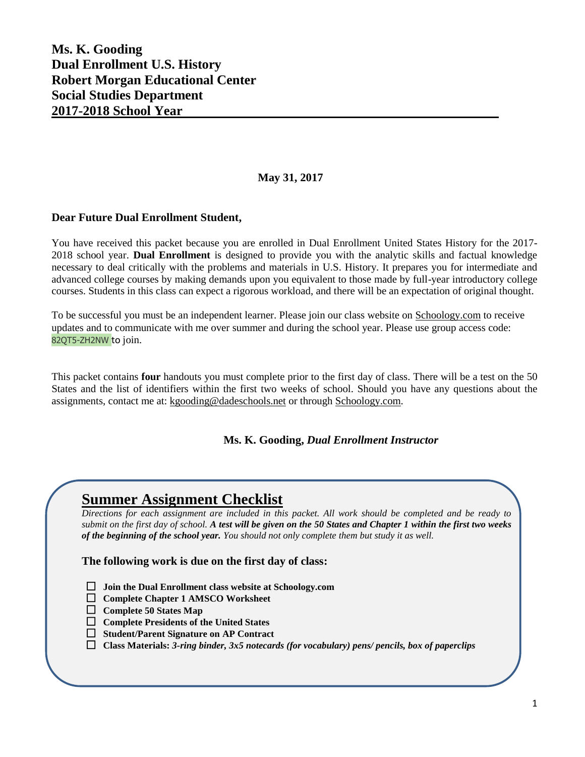### **Ms. K. Gooding Dual Enrollment U.S. History Robert Morgan Educational Center Social Studies Department 2017-2018 School Year**

#### **May 31, 2017**

#### **Dear Future Dual Enrollment Student,**

You have received this packet because you are enrolled in Dual Enrollment United States History for the 2017- 2018 school year. **Dual Enrollment** is designed to provide you with the analytic skills and factual knowledge necessary to deal critically with the problems and materials in U.S. History. It prepares you for intermediate and advanced college courses by making demands upon you equivalent to those made by full-year introductory college courses. Students in this class can expect a rigorous workload, and there will be an expectation of original thought.

To be successful you must be an independent learner. Please join our class website on Schoology.com to receive updates and to communicate with me over summer and during the school year. Please use group access code: 82QT5-ZH2NW to join.

This packet contains **four** handouts you must complete prior to the first day of class. There will be a test on the 50 States and the list of identifiers within the first two weeks of school. Should you have any questions about the assignments, contact me at: [kgooding@dadeschools.net](mailto:kgooding@dadeschools.net) or through Schoology.com.

#### **Ms. K. Gooding,** *Dual Enrollment Instructor*

## **Summer Assignment Checklist**

*Directions for each assignment are included in this packet. All work should be completed and be ready to submit on the first day of school. A test will be given on the 50 States and Chapter 1 within the first two weeks of the beginning of the school year. You should not only complete them but study it as well.*

**The following work is due on the first day of class:**

- **Join the Dual Enrollment class website at Schoology.com**
- **Complete Chapter 1 AMSCO Worksheet**
- **Complete 50 States Map**
- **Complete Presidents of the United States**
- **Student/Parent Signature on AP Contract**
- **Class Materials:** *3-ring binder, 3x5 notecards (for vocabulary) pens/ pencils, box of paperclips*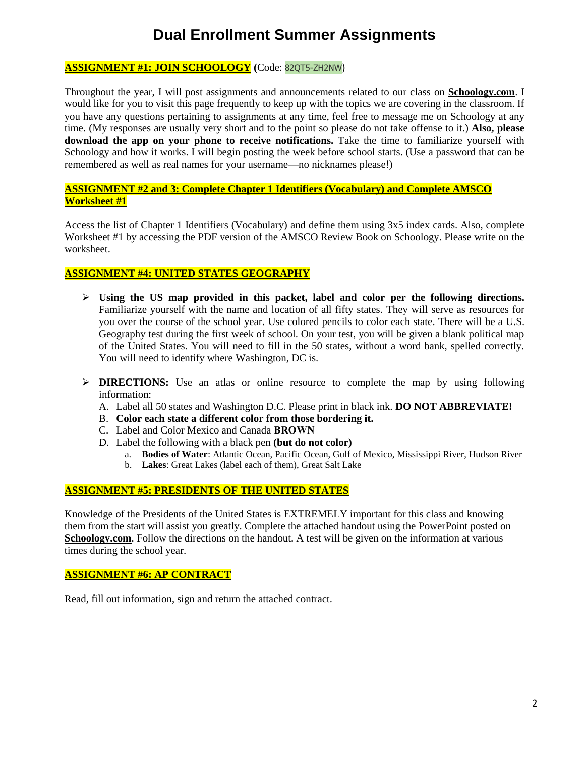# **Dual Enrollment Summer Assignments**

#### **ASSIGNMENT #1: JOIN SCHOOLOGY (**Code: 82QT5-ZH2NW)

Throughout the year, I will post assignments and announcements related to our class on **Schoology.com**. I would like for you to visit this page frequently to keep up with the topics we are covering in the classroom. If you have any questions pertaining to assignments at any time, feel free to message me on Schoology at any time. (My responses are usually very short and to the point so please do not take offense to it.) **Also, please download the app on your phone to receive notifications.** Take the time to familiarize yourself with Schoology and how it works. I will begin posting the week before school starts. (Use a password that can be remembered as well as real names for your username—no nicknames please!)

#### **ASSIGNMENT #2 and 3: Complete Chapter 1 Identifiers (Vocabulary) and Complete AMSCO Worksheet #1**

Access the list of Chapter 1 Identifiers (Vocabulary) and define them using 3x5 index cards. Also, complete Worksheet #1 by accessing the PDF version of the AMSCO Review Book on Schoology. Please write on the worksheet.

#### **ASSIGNMENT #4: UNITED STATES GEOGRAPHY**

- **Using the US map provided in this packet, label and color per the following directions.**  Familiarize yourself with the name and location of all fifty states. They will serve as resources for you over the course of the school year. Use colored pencils to color each state. There will be a U.S. Geography test during the first week of school. On your test, you will be given a blank political map of the United States. You will need to fill in the 50 states, without a word bank, spelled correctly. You will need to identify where Washington, DC is.
- **DIRECTIONS:** Use an atlas or online resource to complete the map by using following information:
	- A. Label all 50 states and Washington D.C. Please print in black ink. **DO NOT ABBREVIATE!**
	- B. **Color each state a different color from those bordering it.**
	- C. Label and Color Mexico and Canada **BROWN**
	- D. Label the following with a black pen **(but do not color)**
		- a. **Bodies of Water**: Atlantic Ocean, Pacific Ocean, Gulf of Mexico, Mississippi River, Hudson River
		- b. **Lakes**: Great Lakes (label each of them), Great Salt Lake

#### **ASSIGNMENT #5: PRESIDENTS OF THE UNITED STATES**

Knowledge of the Presidents of the United States is EXTREMELY important for this class and knowing them from the start will assist you greatly. Complete the attached handout using the PowerPoint posted on **Schoology.com**. Follow the directions on the handout. A test will be given on the information at various times during the school year.

#### **ASSIGNMENT #6: AP CONTRACT**

Read, fill out information, sign and return the attached contract.